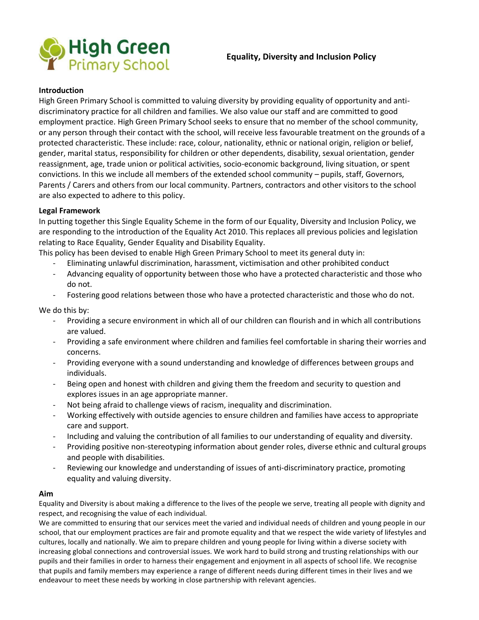

### **Introduction**

High Green Primary School is committed to valuing diversity by providing equality of opportunity and antidiscriminatory practice for all children and families. We also value our staff and are committed to good employment practice. High Green Primary School seeks to ensure that no member of the school community, or any person through their contact with the school, will receive less favourable treatment on the grounds of a protected characteristic. These include: race, colour, nationality, ethnic or national origin, religion or belief, gender, marital status, responsibility for children or other dependents, disability, sexual orientation, gender reassignment, age, trade union or political activities, socio-economic background, living situation, or spent convictions. In this we include all members of the extended school community – pupils, staff, Governors, Parents / Carers and others from our local community. Partners, contractors and other visitors to the school are also expected to adhere to this policy.

## **Legal Framework**

In putting together this Single Equality Scheme in the form of our Equality, Diversity and Inclusion Policy, we are responding to the introduction of the Equality Act 2010. This replaces all previous policies and legislation relating to Race Equality, Gender Equality and Disability Equality.

This policy has been devised to enable High Green Primary School to meet its general duty in:

- Eliminating unlawful discrimination, harassment, victimisation and other prohibited conduct
- Advancing equality of opportunity between those who have a protected characteristic and those who do not.
- Fostering good relations between those who have a protected characteristic and those who do not.

We do this by:

- Providing a secure environment in which all of our children can flourish and in which all contributions are valued.
- Providing a safe environment where children and families feel comfortable in sharing their worries and concerns.
- Providing everyone with a sound understanding and knowledge of differences between groups and individuals.
- Being open and honest with children and giving them the freedom and security to question and explores issues in an age appropriate manner.
- Not being afraid to challenge views of racism, inequality and discrimination.
- Working effectively with outside agencies to ensure children and families have access to appropriate care and support.
- Including and valuing the contribution of all families to our understanding of equality and diversity.
- Providing positive non-stereotyping information about gender roles, diverse ethnic and cultural groups and people with disabilities.
- Reviewing our knowledge and understanding of issues of anti-discriminatory practice, promoting equality and valuing diversity.

### **Aim**

Equality and Diversity is about making a difference to the lives of the people we serve, treating all people with dignity and respect, and recognising the value of each individual.

We are committed to ensuring that our services meet the varied and individual needs of children and young people in our school, that our employment practices are fair and promote equality and that we respect the wide variety of lifestyles and cultures, locally and nationally. We aim to prepare children and young people for living within a diverse society with increasing global connections and controversial issues. We work hard to build strong and trusting relationships with our pupils and their families in order to harness their engagement and enjoyment in all aspects of school life. We recognise that pupils and family members may experience a range of different needs during different times in their lives and we endeavour to meet these needs by working in close partnership with relevant agencies.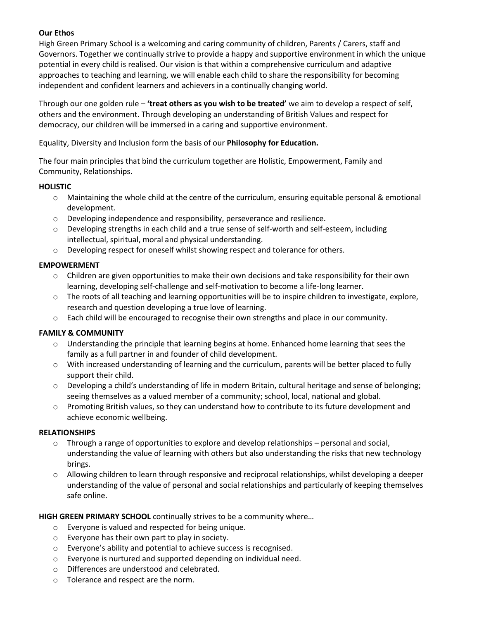# **Our Ethos**

High Green Primary School is a welcoming and caring community of children, Parents / Carers, staff and Governors. Together we continually strive to provide a happy and supportive environment in which the unique potential in every child is realised. Our vision is that within a comprehensive curriculum and adaptive approaches to teaching and learning, we will enable each child to share the responsibility for becoming independent and confident learners and achievers in a continually changing world.

Through our one golden rule – **'treat others as you wish to be treated'** we aim to develop a respect of self, others and the environment. Through developing an understanding of British Values and respect for democracy, our children will be immersed in a caring and supportive environment.

Equality, Diversity and Inclusion form the basis of our **Philosophy for Education.**

The four main principles that bind the curriculum together are Holistic, Empowerment, Family and Community, Relationships.

# **HOLISTIC**

- o Maintaining the whole child at the centre of the curriculum, ensuring equitable personal & emotional development.
- o Developing independence and responsibility, perseverance and resilience.
- $\circ$  Developing strengths in each child and a true sense of self-worth and self-esteem, including intellectual, spiritual, moral and physical understanding.
- $\circ$  Developing respect for oneself whilst showing respect and tolerance for others.

# **EMPOWERMENT**

- $\circ$  Children are given opportunities to make their own decisions and take responsibility for their own learning, developing self-challenge and self-motivation to become a life-long learner.
- $\circ$  The roots of all teaching and learning opportunities will be to inspire children to investigate, explore, research and question developing a true love of learning.
- o Each child will be encouraged to recognise their own strengths and place in our community.

# **FAMILY & COMMUNITY**

- o Understanding the principle that learning begins at home. Enhanced home learning that sees the family as a full partner in and founder of child development.
- $\circ$  With increased understanding of learning and the curriculum, parents will be better placed to fully support their child.
- $\circ$  Developing a child's understanding of life in modern Britain, cultural heritage and sense of belonging; seeing themselves as a valued member of a community; school, local, national and global.
- o Promoting British values, so they can understand how to contribute to its future development and achieve economic wellbeing.

## **RELATIONSHIPS**

- $\circ$  Through a range of opportunities to explore and develop relationships personal and social, understanding the value of learning with others but also understanding the risks that new technology brings.
- $\circ$  Allowing children to learn through responsive and reciprocal relationships, whilst developing a deeper understanding of the value of personal and social relationships and particularly of keeping themselves safe online.

## **HIGH GREEN PRIMARY SCHOOL** continually strives to be a community where…

- o Everyone is valued and respected for being unique.
- o Everyone has their own part to play in society.
- o Everyone's ability and potential to achieve success is recognised.
- o Everyone is nurtured and supported depending on individual need.
- o Differences are understood and celebrated.
- o Tolerance and respect are the norm.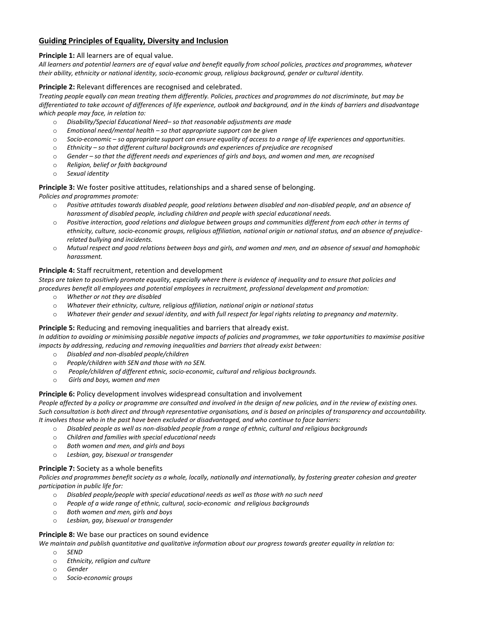# **Guiding Principles of Equality, Diversity and Inclusion**

### **Principle 1:** All learners are of equal value.

*All learners and potential learners are of equal value and benefit equally from school policies, practices and programmes, whatever their ability, ethnicity or national identity, socio-economic group, religious background, gender or cultural identity.*

#### **Principle 2:** Relevant differences are recognised and celebrated.

*Treating people equally can mean treating them differently. Policies, practices and programmes do not discriminate, but may be differentiated to take account of differences of life experience, outlook and background, and in the kinds of barriers and disadvantage which people may face, in relation to:* 

- o *Disability/Special Educational Need– so that reasonable adjustments are made*
- o *Emotional need/mental health – so that appropriate support can be given*
- o *Socio-economic – so appropriate support can ensure equality of access to a range of life experiences and opportunities.*
- o *Ethnicity – so that different cultural backgrounds and experiences of prejudice are recognised*
- o *Gender – so that the different needs and experiences of girls and boys, and women and men, are recognised*
- o *Religion, belief or faith background*
- o *Sexual identity*

#### **Principle 3:** We foster positive attitudes, relationships and a shared sense of belonging.

*Policies and programmes promote:* 

- o *Positive attitudes towards disabled people, good relations between disabled and non-disabled people, and an absence of harassment of disabled people, including children and people with special educational needs.*
- o *Positive interaction, good relations and dialogue between groups and communities different from each other in terms of ethnicity, culture, socio-economic groups, religious affiliation, national origin or national status, and an absence of prejudicerelated bullying and incidents.*
- o *Mutual respect and good relations between boys and girls, and women and men, and an absence of sexual and homophobic harassment.*

#### **Principle 4:** Staff recruitment, retention and development

*Steps are taken to positively promote equality, especially where there is evidence of inequality and to ensure that policies and procedures benefit all employees and potential employees in recruitment, professional development and promotion:* 

- o *Whether or not they are disabled*
- o *Whatever their ethnicity, culture, religious affiliation, national origin or national status*
- o *Whatever their gender and sexual identity, and with full respect for legal rights relating to pregnancy and maternity.*

#### **Principle 5:** Reducing and removing inequalities and barriers that already exist.

*In addition to avoiding or minimising possible negative impacts of policies and programmes, we take opportunities to maximise positive impacts by addressing, reducing and removing inequalities and barriers that already exist between:* 

- o *Disabled and non-disabled people/children*
- o *People/children with SEN and those with no SEN.*
- o *People/children of different ethnic, socio-economic, cultural and religious backgrounds.*
- o *Girls and boys, women and men*

### **Principle 6:** Policy development involves widespread consultation and involvement

*People affected by a policy or programme are consulted and involved in the design of new policies, and in the review of existing ones. Such consultation is both direct and through representative organisations, and is based on principles of transparency and accountability. It involves those who in the past have been excluded or disadvantaged, and who continue to face barriers:* 

- o *Disabled people as well as non-disabled people from a range of ethnic, cultural and religious backgrounds*
- o *Children and families with special educational needs*
- o *Both women and men, and girls and boys*
- o *Lesbian, gay, bisexual or transgender*

### **Principle 7:** Society as a whole benefits

*Policies and programmes benefit society as a whole, locally, nationally and internationally, by fostering greater cohesion and greater participation in public life for:* 

- o *Disabled people/people with special educational needs as well as those with no such need*
- o *People of a wide range of ethnic, cultural, socio-economic and religious backgrounds*
- o *Both women and men, girls and boys*
- o *Lesbian, gay, bisexual or transgender*

### **Principle 8:** We base our practices on sound evidence

*We maintain and publish quantitative and qualitative information about our progress towards greater equality in relation to:* 

- o *SEND*
- o *Ethnicity, religion and culture*
- o *Gender*
- o *Socio-economic groups*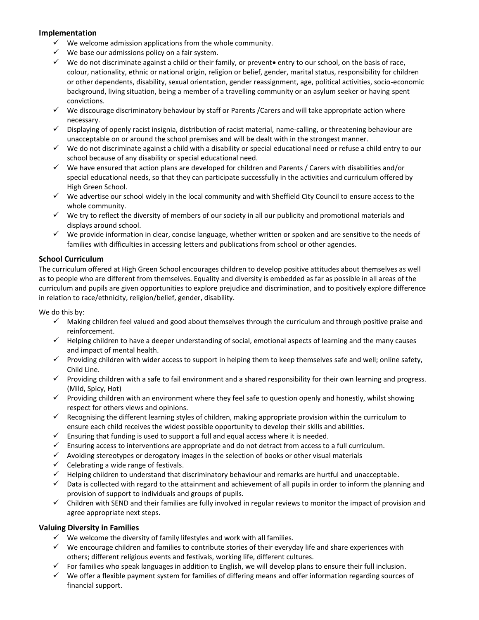## **Implementation**

- $\checkmark$  We welcome admission applications from the whole community.
- $\checkmark$  We base our admissions policy on a fair system.
- $\checkmark$  We do not discriminate against a child or their family, or prevento entry to our school, on the basis of race, colour, nationality, ethnic or national origin, religion or belief, gender, marital status, responsibility for children or other dependents, disability, sexual orientation, gender reassignment, age, political activities, socio-economic background, living situation, being a member of a travelling community or an asylum seeker or having spent convictions.
- $\checkmark$  We discourage discriminatory behaviour by staff or Parents / Carers and will take appropriate action where necessary.
- $\checkmark$  Displaying of openly racist insignia, distribution of racist material, name-calling, or threatening behaviour are unacceptable on or around the school premises and will be dealt with in the strongest manner.
- $\checkmark$  We do not discriminate against a child with a disability or special educational need or refuse a child entry to our school because of any disability or special educational need.
- $\checkmark$  We have ensured that action plans are developed for children and Parents / Carers with disabilities and/or special educational needs, so that they can participate successfully in the activities and curriculum offered by High Green School.
- $\checkmark$  We advertise our school widely in the local community and with Sheffield City Council to ensure access to the whole community.
- $\checkmark$  We try to reflect the diversity of members of our society in all our publicity and promotional materials and displays around school.
- $\checkmark$  We provide information in clear, concise language, whether written or spoken and are sensitive to the needs of families with difficulties in accessing letters and publications from school or other agencies.

## **School Curriculum**

The curriculum offered at High Green School encourages children to develop positive attitudes about themselves as well as to people who are different from themselves. Equality and diversity is embedded as far as possible in all areas of the curriculum and pupils are given opportunities to explore prejudice and discrimination, and to positively explore difference in relation to race/ethnicity, religion/belief, gender, disability.

We do this by:

- $\checkmark$  Making children feel valued and good about themselves through the curriculum and through positive praise and reinforcement.
- $\checkmark$  Helping children to have a deeper understanding of social, emotional aspects of learning and the many causes and impact of mental health.
- $\checkmark$  Providing children with wider access to support in helping them to keep themselves safe and well; online safety, Child Line.
- $\checkmark$  Providing children with a safe to fail environment and a shared responsibility for their own learning and progress. (Mild, Spicy, Hot)
- $\checkmark$  Providing children with an environment where they feel safe to question openly and honestly, whilst showing respect for others views and opinions.
- $\checkmark$  Recognising the different learning styles of children, making appropriate provision within the curriculum to ensure each child receives the widest possible opportunity to develop their skills and abilities.
- $\checkmark$  Ensuring that funding is used to support a full and equal access where it is needed.
- $\checkmark$  Ensuring access to interventions are appropriate and do not detract from access to a full curriculum.
- $\checkmark$  Avoiding stereotypes or derogatory images in the selection of books or other visual materials
- $\checkmark$  Celebrating a wide range of festivals.
- $\checkmark$  Helping children to understand that discriminatory behaviour and remarks are hurtful and unacceptable.
- $\checkmark$  Data is collected with regard to the attainment and achievement of all pupils in order to inform the planning and provision of support to individuals and groups of pupils.
- $\checkmark$  Children with SEND and their families are fully involved in regular reviews to monitor the impact of provision and agree appropriate next steps.

### **Valuing Diversity in Families**

- $\checkmark$  We welcome the diversity of family lifestyles and work with all families.
- $\checkmark$  We encourage children and families to contribute stories of their everyday life and share experiences with others; different religious events and festivals, working life, different cultures.
- $\checkmark$  For families who speak languages in addition to English, we will develop plans to ensure their full inclusion.
- $\checkmark$  We offer a flexible payment system for families of differing means and offer information regarding sources of financial support.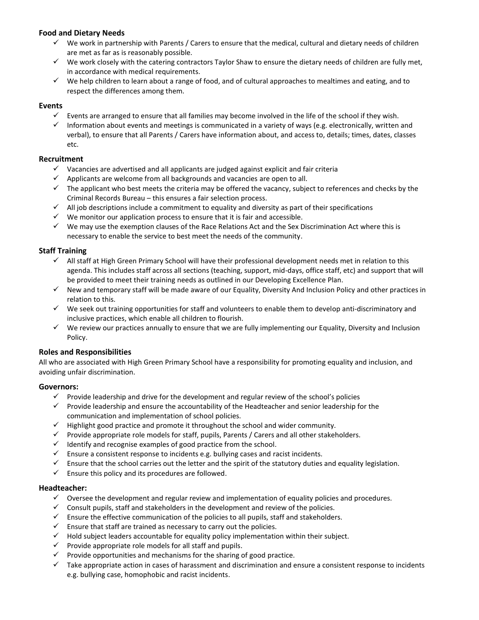## **Food and Dietary Needs**

- $\checkmark$  We work in partnership with Parents / Carers to ensure that the medical, cultural and dietary needs of children are met as far as is reasonably possible.
- $\checkmark$  We work closely with the catering contractors Taylor Shaw to ensure the dietary needs of children are fully met, in accordance with medical requirements.
- $\checkmark$  We help children to learn about a range of food, and of cultural approaches to mealtimes and eating, and to respect the differences among them.

## **Events**

- $\checkmark$  Events are arranged to ensure that all families may become involved in the life of the school if they wish.
- $\checkmark$  Information about events and meetings is communicated in a variety of ways (e.g. electronically, written and verbal), to ensure that all Parents / Carers have information about, and access to, details; times, dates, classes etc.

## **Recruitment**

- $\checkmark$  Vacancies are advertised and all applicants are judged against explicit and fair criteria
- $\checkmark$  Applicants are welcome from all backgrounds and vacancies are open to all.
- $\checkmark$  The applicant who best meets the criteria may be offered the vacancy, subject to references and checks by the Criminal Records Bureau – this ensures a fair selection process.
- $\checkmark$  All job descriptions include a commitment to equality and diversity as part of their specifications
- $\checkmark$  We monitor our application process to ensure that it is fair and accessible.
- $\checkmark$  We may use the exemption clauses of the Race Relations Act and the Sex Discrimination Act where this is necessary to enable the service to best meet the needs of the community.

## **Staff Training**

- All staff at High Green Primary School will have their professional development needs met in relation to this agenda. This includes staff across all sections (teaching, support, mid-days, office staff, etc) and support that will be provided to meet their training needs as outlined in our Developing Excellence Plan.
- $\checkmark$  New and temporary staff will be made aware of our Equality, Diversity And Inclusion Policy and other practices in relation to this.
- $\checkmark$  We seek out training opportunities for staff and volunteers to enable them to develop anti-discriminatory and inclusive practices, which enable all children to flourish.
- $\checkmark$  We review our practices annually to ensure that we are fully implementing our Equality, Diversity and Inclusion Policy.

### **Roles and Responsibilities**

All who are associated with High Green Primary School have a responsibility for promoting equality and inclusion, and avoiding unfair discrimination.

### **Governors:**

- $\checkmark$  Provide leadership and drive for the development and regular review of the school's policies
- $\checkmark$  Provide leadership and ensure the accountability of the Headteacher and senior leadership for the communication and implementation of school policies.
- $\checkmark$  Highlight good practice and promote it throughout the school and wider community.
- $\checkmark$  Provide appropriate role models for staff, pupils, Parents / Carers and all other stakeholders.
- $\checkmark$  Identify and recognise examples of good practice from the school.
- $\checkmark$  Ensure a consistent response to incidents e.g. bullying cases and racist incidents.
- $\checkmark$  Ensure that the school carries out the letter and the spirit of the statutory duties and equality legislation.
- $\checkmark$  Ensure this policy and its procedures are followed.

### **Headteacher:**

- $\checkmark$  Oversee the development and regular review and implementation of equality policies and procedures.
- $\checkmark$  Consult pupils, staff and stakeholders in the development and review of the policies.
- $\checkmark$  Ensure the effective communication of the policies to all pupils, staff and stakeholders.
- $\checkmark$  Ensure that staff are trained as necessary to carry out the policies.
- $\checkmark$  Hold subject leaders accountable for equality policy implementation within their subject.
- $\checkmark$  Provide appropriate role models for all staff and pupils.
- $\checkmark$  Provide opportunities and mechanisms for the sharing of good practice.
- $\checkmark$  Take appropriate action in cases of harassment and discrimination and ensure a consistent response to incidents e.g. bullying case, homophobic and racist incidents.